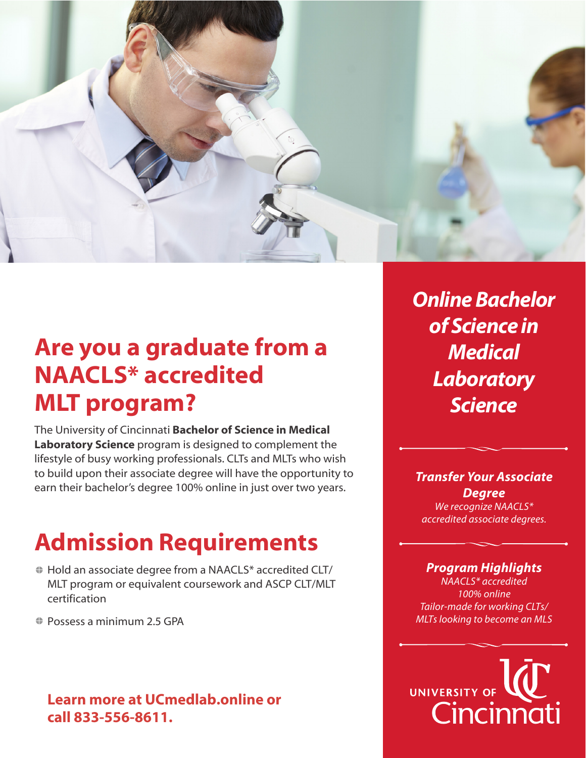

## **Are you a graduate from a NAACLS\* accredited MLT program?**

The University of Cincinnati **Bachelor of Science in Medical Laboratory Science** program is designed to complement the lifestyle of busy working professionals. CLTs and MLTs who wish to build upon their associate degree will have the opportunity to earn their bachelor's degree 100% online in just over two years.

# **Admission Requirements**

- Hold an associate degree from a NAACLS\* accredited CLT/ MLT program or equivalent coursework and ASCP CLT/MLT certification
- **♦ Possess a minimum 2.5 GPA**

## **Learn more at UCmedlab.online or call 833-556-8611.**

**Online Bachelor of Science in Medical Laboratory Science**

#### *Transfer Your Associate Degree We recognize NAACLS\**

*accredited associate degrees.* 

#### *Program Highlights*

*NAACLS\* accredited 100% online Tailor-made for working CLTs/ MLTs looking to become an MLS*